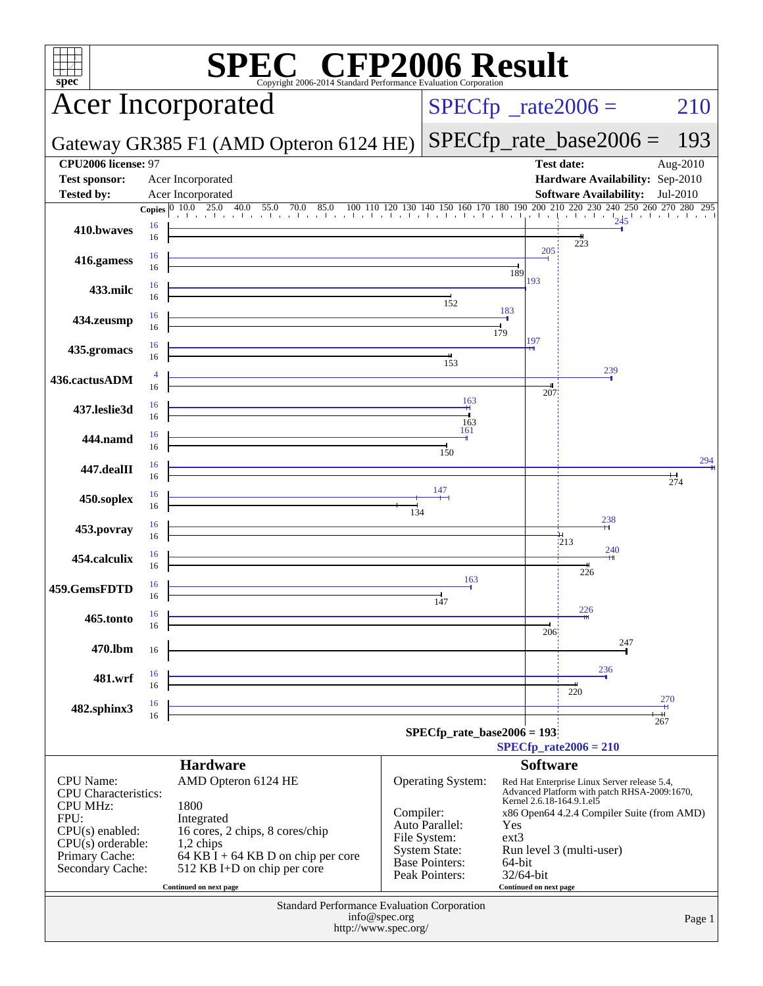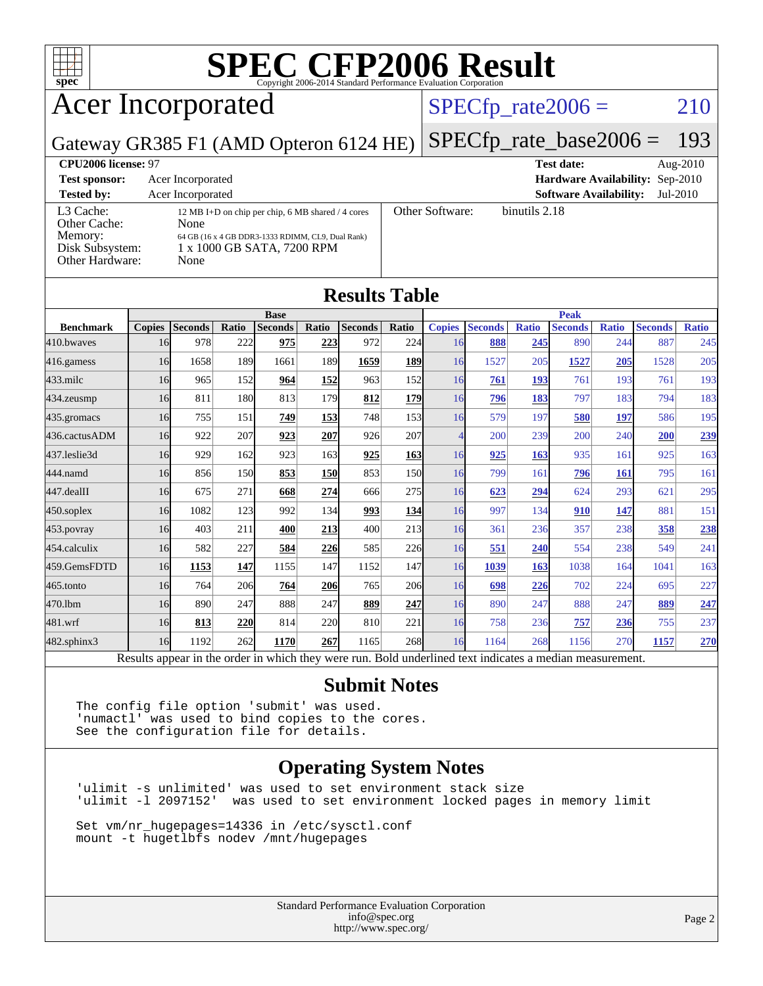

## Acer Incorporated

### $SPECTp_rate2006 = 210$

### Gateway GR385 F1 (AMD Opteron 6124 HE) [SPECfp\\_rate\\_base2006 =](http://www.spec.org/auto/cpu2006/Docs/result-fields.html#SPECfpratebase2006) 193

**[Results Table](http://www.spec.org/auto/cpu2006/Docs/result-fields.html#ResultsTable)**

**[CPU2006 license:](http://www.spec.org/auto/cpu2006/Docs/result-fields.html#CPU2006license)** 97 **[Test date:](http://www.spec.org/auto/cpu2006/Docs/result-fields.html#Testdate)** Aug-2010 **[Test sponsor:](http://www.spec.org/auto/cpu2006/Docs/result-fields.html#Testsponsor)** Acer Incorporated **[Hardware Availability:](http://www.spec.org/auto/cpu2006/Docs/result-fields.html#HardwareAvailability)** Sep-2010 **[Tested by:](http://www.spec.org/auto/cpu2006/Docs/result-fields.html#Testedby)** Acer Incorporated **[Software Availability:](http://www.spec.org/auto/cpu2006/Docs/result-fields.html#SoftwareAvailability)** Jul-2010 [L3 Cache:](http://www.spec.org/auto/cpu2006/Docs/result-fields.html#L3Cache) 12 MB I+D on chip per chip, 6 MB shared / 4 cores<br>Other Cache: None [Other Cache:](http://www.spec.org/auto/cpu2006/Docs/result-fields.html#OtherCache) [Memory:](http://www.spec.org/auto/cpu2006/Docs/result-fields.html#Memory) 64 GB (16 x 4 GB DDR3-1333 RDIMM, CL9, Dual Rank) [Disk Subsystem:](http://www.spec.org/auto/cpu2006/Docs/result-fields.html#DiskSubsystem) 1 x 1000 GB SATA, 7200 RPM [Other Hardware:](http://www.spec.org/auto/cpu2006/Docs/result-fields.html#OtherHardware) None [Other Software:](http://www.spec.org/auto/cpu2006/Docs/result-fields.html#OtherSoftware) binutils 2.18

|                  |               |                                                                                                          |              |                |            | Results Table  |            |                          |                |              |                |              |                |              |
|------------------|---------------|----------------------------------------------------------------------------------------------------------|--------------|----------------|------------|----------------|------------|--------------------------|----------------|--------------|----------------|--------------|----------------|--------------|
|                  |               |                                                                                                          |              | <b>Base</b>    |            |                |            |                          |                |              | <b>Peak</b>    |              |                |              |
| <b>Benchmark</b> | <b>Copies</b> | <b>Seconds</b>                                                                                           | <b>Ratio</b> | <b>Seconds</b> | Ratio      | <b>Seconds</b> | Ratio      | <b>Copies</b>            | <b>Seconds</b> | <b>Ratio</b> | <b>Seconds</b> | <b>Ratio</b> | <b>Seconds</b> | <b>Ratio</b> |
| 410.bwayes       | 16            | 978                                                                                                      | 222          | 975            | 223        | 972            | 224        | 16                       | 888            | 245          | 890            | 244          | 887            | 245          |
| 416.gamess       | 16            | 1658                                                                                                     | 189          | 1661           | 189        | 1659           | 189        | 16                       | 1527           | 205          | 1527           | 205          | 1528           | 205          |
| $433$ .milc      | 16            | 965                                                                                                      | 152          | 964            | 152        | 963            | 152        | 16                       | 761            | 193          | 761            | 193          | 761            | 193          |
| 434.zeusmp       | 16            | 811                                                                                                      | 180          | 813            | 179        | 812            | <b>179</b> | 16                       | 796            | 183          | 797            | 183          | 794            | 183          |
| 435.gromacs      | 16            | 755                                                                                                      | 151          | 749            | 153        | 748            | 153        | 16                       | 579            | 197          | 580            | <u>197</u>   | 586            | 195          |
| 436.cactusADM    | 16            | 922                                                                                                      | 207          | 923            | 207        | 926            | 207        | $\overline{\mathcal{A}}$ | 200            | 239          | 200            | 240          | 200            | 239          |
| 437.leslie3d     | 16            | 929                                                                                                      | 162          | 923            | 163        | <u>925</u>     | <b>163</b> | 16                       | 925            | 163          | 935            | 161          | 925            | 163          |
| 444.namd         | 16            | 856                                                                                                      | 150          | 853            | <b>150</b> | 853            | <b>150</b> | 16                       | 799            | 161          | 796            | 161          | 795            | 161          |
| 447.dealII       | 16            | 675                                                                                                      | 271          | 668            | 274        | 666            | 275        | 16                       | 623            | 294          | 624            | 293          | 621            | 295          |
| 450.soplex       | 16            | 1082                                                                                                     | 123          | 992            | 134        | 993            | 134        | 16                       | 997            | 134          | 910            | <u>147</u>   | 881            | 151          |
| $453$ .povray    | 16            | 403                                                                                                      | 211          | 400            | 213        | 400            | 213        | 16                       | 361            | 236          | 357            | 238          | 358            | 238          |
| 454.calculix     | 16            | 582                                                                                                      | 227          | 584            | 226        | 585            | 226        | 16                       | 551            | 240          | 554            | 238          | 549            | 241          |
| 459.GemsFDTD     | 16            | 1153                                                                                                     | 147          | 1155           | 147        | 1152           | 147        | 16                       | 1039           | 163          | 1038           | 164          | 1041           | 163          |
| 465.tonto        | 16            | 764                                                                                                      | 206          | 764            | 206        | 765            | 206        | 16                       | 698            | 226          | 702            | 224          | 695            | 227          |
| 470.1bm          | 16            | 890                                                                                                      | 247          | 888            | 247        | 889            | 247        | 16                       | 890            | 247          | 888            | 247          | 889            | 247          |
| 481.wrf          | 16            | 813                                                                                                      | 220          | 814            | 220        | 810            | 221        | 16                       | 758            | 236          | 757            | 236          | 755            | 237          |
| 482.sphinx3      | 16            | 1192                                                                                                     | 262          | 1170           | 267        | 1165           | 268        | 16                       | 1164           | 268          | 1156           | 270          | 1157           | 270          |
|                  |               | Results appear in the order in which they were run. Bold underlined text indicates a median measurement. |              |                |            |                |            |                          |                |              |                |              |                |              |

### **[Submit Notes](http://www.spec.org/auto/cpu2006/Docs/result-fields.html#SubmitNotes)**

The config file option 'submit' was used. 'numactl' was used to bind copies to the cores. See the configuration file for details.

### **[Operating System Notes](http://www.spec.org/auto/cpu2006/Docs/result-fields.html#OperatingSystemNotes)**

'ulimit -s unlimited' was used to set environment stack size was used to set environment locked pages in memory limit

Set vm/nr\_hugepages=14336 in /etc/sysctl.conf mount -t hugetlbfs nodev /mnt/hugepages

> Standard Performance Evaluation Corporation [info@spec.org](mailto:info@spec.org) <http://www.spec.org/>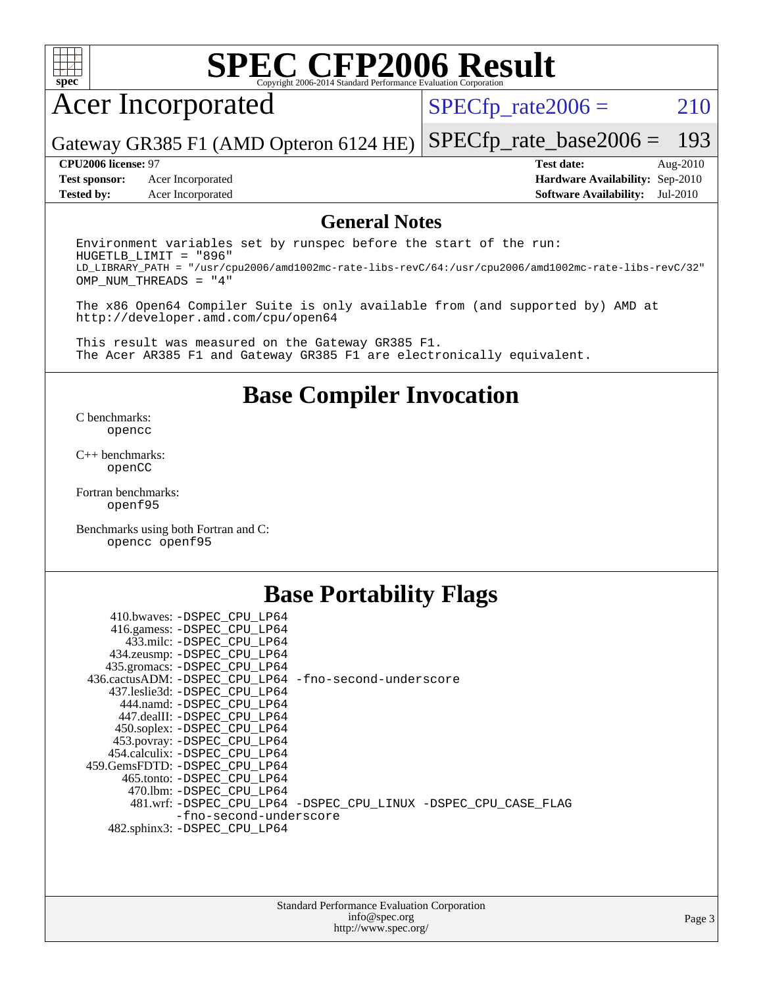

## Acer Incorporated

 $SPECTp_rate2006 = 210$ 

Gateway GR385 F1 (AMD Opteron 6124 HE) [SPECfp\\_rate\\_base2006 =](http://www.spec.org/auto/cpu2006/Docs/result-fields.html#SPECfpratebase2006) 193

**[Test sponsor:](http://www.spec.org/auto/cpu2006/Docs/result-fields.html#Testsponsor)** Acer Incorporated **[Hardware Availability:](http://www.spec.org/auto/cpu2006/Docs/result-fields.html#HardwareAvailability)** Sep-2010 **[Tested by:](http://www.spec.org/auto/cpu2006/Docs/result-fields.html#Testedby)** Acer Incorporated **[Software Availability:](http://www.spec.org/auto/cpu2006/Docs/result-fields.html#SoftwareAvailability)** Jul-2010

**[CPU2006 license:](http://www.spec.org/auto/cpu2006/Docs/result-fields.html#CPU2006license)** 97 **[Test date:](http://www.spec.org/auto/cpu2006/Docs/result-fields.html#Testdate)** Aug-2010

### **[General Notes](http://www.spec.org/auto/cpu2006/Docs/result-fields.html#GeneralNotes)**

Environment variables set by runspec before the start of the run: HUGETLB\_LIMIT = "896" LD\_LIBRARY\_PATH = "/usr/cpu2006/amd1002mc-rate-libs-revC/64:/usr/cpu2006/amd1002mc-rate-libs-revC/32" OMP\_NUM\_THREADS = "4"

The x86 Open64 Compiler Suite is only available from (and supported by) AMD at <http://developer.amd.com/cpu/open64>

This result was measured on the Gateway GR385 F1. The Acer AR385 F1 and Gateway GR385 F1 are electronically equivalent.

### **[Base Compiler Invocation](http://www.spec.org/auto/cpu2006/Docs/result-fields.html#BaseCompilerInvocation)**

[C benchmarks](http://www.spec.org/auto/cpu2006/Docs/result-fields.html#Cbenchmarks): [opencc](http://www.spec.org/cpu2006/results/res2010q3/cpu2006-20100824-13060.flags.html#user_CCbase_Fopencc)

[C++ benchmarks:](http://www.spec.org/auto/cpu2006/Docs/result-fields.html#CXXbenchmarks) [openCC](http://www.spec.org/cpu2006/results/res2010q3/cpu2006-20100824-13060.flags.html#user_CXXbase_FopenCC)

[Fortran benchmarks](http://www.spec.org/auto/cpu2006/Docs/result-fields.html#Fortranbenchmarks): [openf95](http://www.spec.org/cpu2006/results/res2010q3/cpu2006-20100824-13060.flags.html#user_FCbase_Fopenf95)

[Benchmarks using both Fortran and C](http://www.spec.org/auto/cpu2006/Docs/result-fields.html#BenchmarksusingbothFortranandC): [opencc](http://www.spec.org/cpu2006/results/res2010q3/cpu2006-20100824-13060.flags.html#user_CC_FCbase_Fopencc) [openf95](http://www.spec.org/cpu2006/results/res2010q3/cpu2006-20100824-13060.flags.html#user_CC_FCbase_Fopenf95)

### **[Base Portability Flags](http://www.spec.org/auto/cpu2006/Docs/result-fields.html#BasePortabilityFlags)**

| 410.bwaves: -DSPEC CPU LP64                           |                                                                |
|-------------------------------------------------------|----------------------------------------------------------------|
| 416.gamess: -DSPEC_CPU_LP64                           |                                                                |
| 433.milc: -DSPEC CPU LP64                             |                                                                |
| 434.zeusmp: -DSPEC_CPU_LP64                           |                                                                |
| 435.gromacs: -DSPEC CPU LP64                          |                                                                |
| 436.cactusADM: -DSPEC CPU LP64 -fno-second-underscore |                                                                |
| 437.leslie3d: -DSPEC CPU LP64                         |                                                                |
| 444.namd: - DSPEC CPU LP64                            |                                                                |
| 447.dealII: -DSPEC CPU LP64                           |                                                                |
| 450.soplex: -DSPEC_CPU_LP64                           |                                                                |
| 453.povray: -DSPEC_CPU_LP64                           |                                                                |
| 454.calculix: -DSPEC CPU LP64                         |                                                                |
| 459.GemsFDTD: -DSPEC_CPU LP64                         |                                                                |
| 465.tonto: - DSPEC CPU LP64                           |                                                                |
| 470.1bm: - DSPEC CPU LP64                             |                                                                |
|                                                       | 481.wrf: -DSPEC_CPU_LP64 -DSPEC_CPU_LINUX -DSPEC_CPU_CASE_FLAG |
| -fno-second-underscore                                |                                                                |
| 482.sphinx3: -DSPEC_CPU_LP64                          |                                                                |
|                                                       |                                                                |

| <b>Standard Performance Evaluation Corporation</b> |
|----------------------------------------------------|
| info@spec.org                                      |
| http://www.spec.org/                               |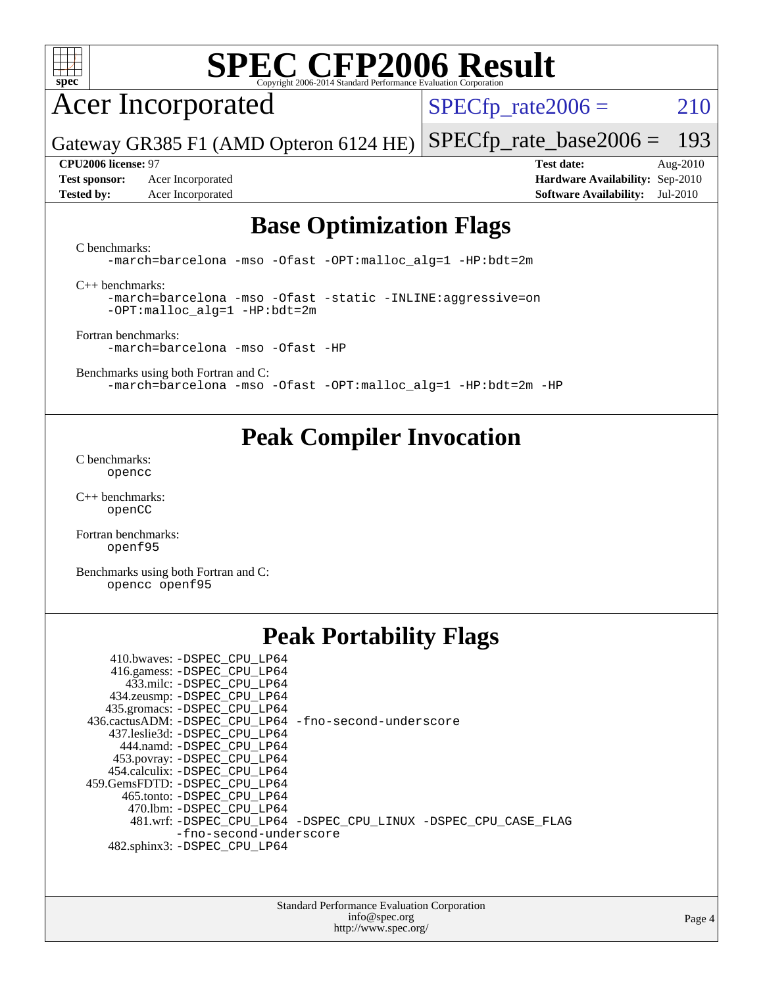

## Acer Incorporated

 $SPECTp_rate2006 = 210$ 

Gateway GR385 F1 (AMD Opteron 6124 HE) [SPECfp\\_rate\\_base2006 =](http://www.spec.org/auto/cpu2006/Docs/result-fields.html#SPECfpratebase2006) 193

**[Test sponsor:](http://www.spec.org/auto/cpu2006/Docs/result-fields.html#Testsponsor)** Acer Incorporated **[Hardware Availability:](http://www.spec.org/auto/cpu2006/Docs/result-fields.html#HardwareAvailability)** Sep-2010 **[Tested by:](http://www.spec.org/auto/cpu2006/Docs/result-fields.html#Testedby)** Acer Incorporated **[Software Availability:](http://www.spec.org/auto/cpu2006/Docs/result-fields.html#SoftwareAvailability)** Jul-2010

**[CPU2006 license:](http://www.spec.org/auto/cpu2006/Docs/result-fields.html#CPU2006license)** 97 **[Test date:](http://www.spec.org/auto/cpu2006/Docs/result-fields.html#Testdate)** Aug-2010

### **[Base Optimization Flags](http://www.spec.org/auto/cpu2006/Docs/result-fields.html#BaseOptimizationFlags)**

[C benchmarks](http://www.spec.org/auto/cpu2006/Docs/result-fields.html#Cbenchmarks):

[-march=barcelona](http://www.spec.org/cpu2006/results/res2010q3/cpu2006-20100824-13060.flags.html#user_CCbase_F-march_8ea39521cada96f307a04d0b8b9c6ffb) [-mso](http://www.spec.org/cpu2006/results/res2010q3/cpu2006-20100824-13060.flags.html#user_CCbase_F-mso) [-Ofast](http://www.spec.org/cpu2006/results/res2010q3/cpu2006-20100824-13060.flags.html#user_CCbase_F-Ofast) [-OPT:malloc\\_alg=1](http://www.spec.org/cpu2006/results/res2010q3/cpu2006-20100824-13060.flags.html#user_CCbase_F-OPT:malloc_algorithm_58733815edefaa612c2ed769b716daa0) [-HP:bdt=2m](http://www.spec.org/cpu2006/results/res2010q3/cpu2006-20100824-13060.flags.html#user_CCbase_F-HUGEPAGE_99eaea9f74400395f9f16774d1aed5d7)

[C++ benchmarks:](http://www.spec.org/auto/cpu2006/Docs/result-fields.html#CXXbenchmarks)

[-march=barcelona](http://www.spec.org/cpu2006/results/res2010q3/cpu2006-20100824-13060.flags.html#user_CXXbase_F-march_8ea39521cada96f307a04d0b8b9c6ffb) [-mso](http://www.spec.org/cpu2006/results/res2010q3/cpu2006-20100824-13060.flags.html#user_CXXbase_F-mso) [-Ofast](http://www.spec.org/cpu2006/results/res2010q3/cpu2006-20100824-13060.flags.html#user_CXXbase_F-Ofast) [-static](http://www.spec.org/cpu2006/results/res2010q3/cpu2006-20100824-13060.flags.html#user_CXXbase_F-static) [-INLINE:aggressive=on](http://www.spec.org/cpu2006/results/res2010q3/cpu2006-20100824-13060.flags.html#user_CXXbase_F-INLINE:aggressive_e14807c0a1e56a6a83cb25ab07c7ae8a) [-OPT:malloc\\_alg=1](http://www.spec.org/cpu2006/results/res2010q3/cpu2006-20100824-13060.flags.html#user_CXXbase_F-OPT:malloc_algorithm_58733815edefaa612c2ed769b716daa0) [-HP:bdt=2m](http://www.spec.org/cpu2006/results/res2010q3/cpu2006-20100824-13060.flags.html#user_CXXbase_F-HUGEPAGE_99eaea9f74400395f9f16774d1aed5d7)

[Fortran benchmarks](http://www.spec.org/auto/cpu2006/Docs/result-fields.html#Fortranbenchmarks): [-march=barcelona](http://www.spec.org/cpu2006/results/res2010q3/cpu2006-20100824-13060.flags.html#user_FCbase_F-march_8ea39521cada96f307a04d0b8b9c6ffb) [-mso](http://www.spec.org/cpu2006/results/res2010q3/cpu2006-20100824-13060.flags.html#user_FCbase_F-mso) [-Ofast](http://www.spec.org/cpu2006/results/res2010q3/cpu2006-20100824-13060.flags.html#user_FCbase_F-Ofast) [-HP](http://www.spec.org/cpu2006/results/res2010q3/cpu2006-20100824-13060.flags.html#user_FCbase_F-HUGEPAGE_5df7ddc958063186306345596c5e7dc3)

[Benchmarks using both Fortran and C](http://www.spec.org/auto/cpu2006/Docs/result-fields.html#BenchmarksusingbothFortranandC): [-march=barcelona](http://www.spec.org/cpu2006/results/res2010q3/cpu2006-20100824-13060.flags.html#user_CC_FCbase_F-march_8ea39521cada96f307a04d0b8b9c6ffb) [-mso](http://www.spec.org/cpu2006/results/res2010q3/cpu2006-20100824-13060.flags.html#user_CC_FCbase_F-mso) [-Ofast](http://www.spec.org/cpu2006/results/res2010q3/cpu2006-20100824-13060.flags.html#user_CC_FCbase_F-Ofast) [-OPT:malloc\\_alg=1](http://www.spec.org/cpu2006/results/res2010q3/cpu2006-20100824-13060.flags.html#user_CC_FCbase_F-OPT:malloc_algorithm_58733815edefaa612c2ed769b716daa0) [-HP:bdt=2m](http://www.spec.org/cpu2006/results/res2010q3/cpu2006-20100824-13060.flags.html#user_CC_FCbase_F-HUGEPAGE_99eaea9f74400395f9f16774d1aed5d7) [-HP](http://www.spec.org/cpu2006/results/res2010q3/cpu2006-20100824-13060.flags.html#user_CC_FCbase_F-HUGEPAGE_5df7ddc958063186306345596c5e7dc3)

### **[Peak Compiler Invocation](http://www.spec.org/auto/cpu2006/Docs/result-fields.html#PeakCompilerInvocation)**

[C benchmarks](http://www.spec.org/auto/cpu2006/Docs/result-fields.html#Cbenchmarks): [opencc](http://www.spec.org/cpu2006/results/res2010q3/cpu2006-20100824-13060.flags.html#user_CCpeak_Fopencc)

[C++ benchmarks:](http://www.spec.org/auto/cpu2006/Docs/result-fields.html#CXXbenchmarks) [openCC](http://www.spec.org/cpu2006/results/res2010q3/cpu2006-20100824-13060.flags.html#user_CXXpeak_FopenCC)

[Fortran benchmarks](http://www.spec.org/auto/cpu2006/Docs/result-fields.html#Fortranbenchmarks): [openf95](http://www.spec.org/cpu2006/results/res2010q3/cpu2006-20100824-13060.flags.html#user_FCpeak_Fopenf95)

[Benchmarks using both Fortran and C](http://www.spec.org/auto/cpu2006/Docs/result-fields.html#BenchmarksusingbothFortranandC): [opencc](http://www.spec.org/cpu2006/results/res2010q3/cpu2006-20100824-13060.flags.html#user_CC_FCpeak_Fopencc) [openf95](http://www.spec.org/cpu2006/results/res2010q3/cpu2006-20100824-13060.flags.html#user_CC_FCpeak_Fopenf95)

## **[Peak Portability Flags](http://www.spec.org/auto/cpu2006/Docs/result-fields.html#PeakPortabilityFlags)**

| 410.bwaves: -DSPEC CPU LP64<br>416.gamess: - DSPEC_CPU_LP64<br>433.milc: -DSPEC CPU LP64<br>434.zeusmp: - DSPEC_CPU_LP64<br>435.gromacs: -DSPEC_CPU_LP64 |                                                                |
|----------------------------------------------------------------------------------------------------------------------------------------------------------|----------------------------------------------------------------|
| 436.cactusADM: -DSPEC CPU LP64 -fno-second-underscore                                                                                                    |                                                                |
| 437.leslie3d: -DSPEC_CPU LP64                                                                                                                            |                                                                |
| 444.namd: -DSPEC CPU LP64                                                                                                                                |                                                                |
| 453.povray: -DSPEC_CPU_LP64                                                                                                                              |                                                                |
| 454.calculix: -DSPEC CPU LP64                                                                                                                            |                                                                |
| 459.GemsFDTD: -DSPEC CPU LP64                                                                                                                            |                                                                |
| 465.tonto: - DSPEC_CPU LP64                                                                                                                              |                                                                |
| 470.1bm: -DSPEC CPU LP64                                                                                                                                 |                                                                |
|                                                                                                                                                          | 481.wrf: -DSPEC_CPU_LP64 -DSPEC_CPU_LINUX -DSPEC_CPU_CASE_FLAG |
| -fno-second-underscore                                                                                                                                   |                                                                |
| 482.sphinx3: -DSPEC CPU LP64                                                                                                                             |                                                                |

Standard Performance Evaluation Corporation [info@spec.org](mailto:info@spec.org) <http://www.spec.org/>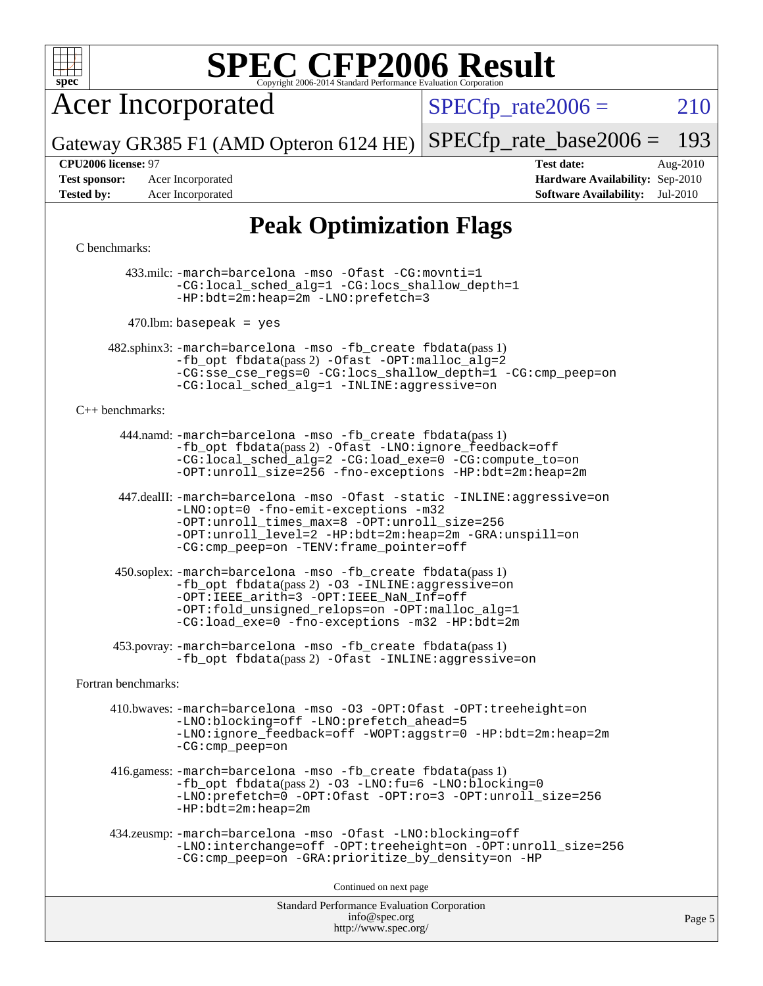

Acer Incorporated

 $SPECTp_rate2006 = 210$ 

Gateway GR385 F1 (AMD Opteron 6124 HE) [SPECfp\\_rate\\_base2006 =](http://www.spec.org/auto/cpu2006/Docs/result-fields.html#SPECfpratebase2006) 193

**[Test sponsor:](http://www.spec.org/auto/cpu2006/Docs/result-fields.html#Testsponsor)** Acer Incorporated **[Hardware Availability:](http://www.spec.org/auto/cpu2006/Docs/result-fields.html#HardwareAvailability)** Sep-2010

**[CPU2006 license:](http://www.spec.org/auto/cpu2006/Docs/result-fields.html#CPU2006license)** 97 **[Test date:](http://www.spec.org/auto/cpu2006/Docs/result-fields.html#Testdate)** Aug-2010 **[Tested by:](http://www.spec.org/auto/cpu2006/Docs/result-fields.html#Testedby)** Acer Incorporated **[Software Availability:](http://www.spec.org/auto/cpu2006/Docs/result-fields.html#SoftwareAvailability)** Jul-2010

## **[Peak Optimization Flags](http://www.spec.org/auto/cpu2006/Docs/result-fields.html#PeakOptimizationFlags)**

### [C benchmarks](http://www.spec.org/auto/cpu2006/Docs/result-fields.html#Cbenchmarks):

 433.milc: [-march=barcelona](http://www.spec.org/cpu2006/results/res2010q3/cpu2006-20100824-13060.flags.html#user_peakCCLD433_milc_F-march_8ea39521cada96f307a04d0b8b9c6ffb) [-mso](http://www.spec.org/cpu2006/results/res2010q3/cpu2006-20100824-13060.flags.html#user_peakCCLD433_milc_F-mso) [-Ofast](http://www.spec.org/cpu2006/results/res2010q3/cpu2006-20100824-13060.flags.html#user_peakCOPTIMIZE433_milc_F-Ofast) [-CG:movnti=1](http://www.spec.org/cpu2006/results/res2010q3/cpu2006-20100824-13060.flags.html#user_peakCOPTIMIZE433_milc_F-CG:movnti_c5191dc1f6da57382570e339f0143b6b) [-CG:local\\_sched\\_alg=1](http://www.spec.org/cpu2006/results/res2010q3/cpu2006-20100824-13060.flags.html#user_peakCOPTIMIZE433_milc_F-CG:local_sched_alg_2175ca61f1a2717f1ec57b14995b9e7a) [-CG:locs\\_shallow\\_depth=1](http://www.spec.org/cpu2006/results/res2010q3/cpu2006-20100824-13060.flags.html#user_peakCOPTIMIZE433_milc_F-CG:locs_shallow_depth_ec0a53d3def1c53dcd5985fc16cc23f2) [-HP:bdt=2m:heap=2m](http://www.spec.org/cpu2006/results/res2010q3/cpu2006-20100824-13060.flags.html#user_peakCOPTIMIZE433_milc_F-HUGEPAGE_855e97383b49831f390a2af16fe7202f) [-LNO:prefetch=3](http://www.spec.org/cpu2006/results/res2010q3/cpu2006-20100824-13060.flags.html#user_peakCOPTIMIZE433_milc_F-LNO:prefetch_73b5a9400a8f80d6e23f06aa34f07c5f)

 $470$ .lbm: basepeak = yes

 482.sphinx3: [-march=barcelona](http://www.spec.org/cpu2006/results/res2010q3/cpu2006-20100824-13060.flags.html#user_peakCCLD482_sphinx3_F-march_8ea39521cada96f307a04d0b8b9c6ffb) [-mso](http://www.spec.org/cpu2006/results/res2010q3/cpu2006-20100824-13060.flags.html#user_peakCCLD482_sphinx3_F-mso) [-fb\\_create fbdata](http://www.spec.org/cpu2006/results/res2010q3/cpu2006-20100824-13060.flags.html#user_peakPASS1_CFLAGSPASS1_LDFLAGS482_sphinx3_F-fb_create_filename)(pass 1) [-fb\\_opt fbdata](http://www.spec.org/cpu2006/results/res2010q3/cpu2006-20100824-13060.flags.html#user_peakPASS2_CFLAGSPASS2_LDFLAGS482_sphinx3_F-fb_opt_filename)(pass 2) [-Ofast](http://www.spec.org/cpu2006/results/res2010q3/cpu2006-20100824-13060.flags.html#user_peakCOPTIMIZE482_sphinx3_F-Ofast) [-OPT:malloc\\_alg=2](http://www.spec.org/cpu2006/results/res2010q3/cpu2006-20100824-13060.flags.html#user_peakCOPTIMIZE482_sphinx3_F-OPT:malloc_algorithm_e62903d0840423b2a5cd674766328c33) [-CG:sse\\_cse\\_regs=0](http://www.spec.org/cpu2006/results/res2010q3/cpu2006-20100824-13060.flags.html#user_peakCOPTIMIZE482_sphinx3_F-CG:sse_cse_regs_7df8d7006fcaae90aa34e4c541216ae1) [-CG:locs\\_shallow\\_depth=1](http://www.spec.org/cpu2006/results/res2010q3/cpu2006-20100824-13060.flags.html#user_peakCOPTIMIZE482_sphinx3_F-CG:locs_shallow_depth_ec0a53d3def1c53dcd5985fc16cc23f2) [-CG:cmp\\_peep=on](http://www.spec.org/cpu2006/results/res2010q3/cpu2006-20100824-13060.flags.html#user_peakCOPTIMIZE482_sphinx3_F-CG:cmp_peep_ab90c979e95bee1f1f617a32622424ed) [-CG:local\\_sched\\_alg=1](http://www.spec.org/cpu2006/results/res2010q3/cpu2006-20100824-13060.flags.html#user_peakCOPTIMIZE482_sphinx3_F-CG:local_sched_alg_2175ca61f1a2717f1ec57b14995b9e7a) [-INLINE:aggressive=on](http://www.spec.org/cpu2006/results/res2010q3/cpu2006-20100824-13060.flags.html#user_peakCOPTIMIZE482_sphinx3_F-INLINE:aggressive_e14807c0a1e56a6a83cb25ab07c7ae8a)

### [C++ benchmarks:](http://www.spec.org/auto/cpu2006/Docs/result-fields.html#CXXbenchmarks)

 444.namd: [-march=barcelona](http://www.spec.org/cpu2006/results/res2010q3/cpu2006-20100824-13060.flags.html#user_peakCXXLD444_namd_F-march_8ea39521cada96f307a04d0b8b9c6ffb) [-mso](http://www.spec.org/cpu2006/results/res2010q3/cpu2006-20100824-13060.flags.html#user_peakCXXLD444_namd_F-mso) [-fb\\_create fbdata](http://www.spec.org/cpu2006/results/res2010q3/cpu2006-20100824-13060.flags.html#user_peakPASS1_CXXFLAGSPASS1_LDFLAGS444_namd_F-fb_create_filename)(pass 1) [-fb\\_opt fbdata](http://www.spec.org/cpu2006/results/res2010q3/cpu2006-20100824-13060.flags.html#user_peakPASS2_CXXFLAGSPASS2_LDFLAGS444_namd_F-fb_opt_filename)(pass 2) [-Ofast](http://www.spec.org/cpu2006/results/res2010q3/cpu2006-20100824-13060.flags.html#user_peakCXXOPTIMIZE444_namd_F-Ofast) [-LNO:ignore\\_feedback=off](http://www.spec.org/cpu2006/results/res2010q3/cpu2006-20100824-13060.flags.html#user_peakCXXOPTIMIZE444_namd_F-LNO:ignore_feedback_1d6d06f39185b277a955c10dfd0a9a73) [-CG:local\\_sched\\_alg=2](http://www.spec.org/cpu2006/results/res2010q3/cpu2006-20100824-13060.flags.html#user_peakCXXOPTIMIZE444_namd_F-CG:local_sched_alg_7e9cde87db6e5e7117cdd873e1f958ca) [-CG:load\\_exe=0](http://www.spec.org/cpu2006/results/res2010q3/cpu2006-20100824-13060.flags.html#user_peakCXXOPTIMIZE444_namd_F-CG:load_exe_274d025dc8e91b4834366e9e44cd78e3) [-CG:compute\\_to=on](http://www.spec.org/cpu2006/results/res2010q3/cpu2006-20100824-13060.flags.html#user_peakCXXOPTIMIZE444_namd_F-CG:compute_to_596c30b399a79f0675b006ae34a185eb) [-OPT:unroll\\_size=256](http://www.spec.org/cpu2006/results/res2010q3/cpu2006-20100824-13060.flags.html#user_peakCXXOPTIMIZE444_namd_F-OPT:unroll_size_dfa492f42f50f580c3837c8b22d14f27) [-fno-exceptions](http://www.spec.org/cpu2006/results/res2010q3/cpu2006-20100824-13060.flags.html#user_peakCXXOPTIMIZE444_namd_F-fexceptions) [-HP:bdt=2m:heap=2m](http://www.spec.org/cpu2006/results/res2010q3/cpu2006-20100824-13060.flags.html#user_peakCXXOPTIMIZE444_namd_F-HUGEPAGE_855e97383b49831f390a2af16fe7202f)

 447.dealII: [-march=barcelona](http://www.spec.org/cpu2006/results/res2010q3/cpu2006-20100824-13060.flags.html#user_peakCXXLD447_dealII_F-march_8ea39521cada96f307a04d0b8b9c6ffb) [-mso](http://www.spec.org/cpu2006/results/res2010q3/cpu2006-20100824-13060.flags.html#user_peakCXXLD447_dealII_F-mso) [-Ofast](http://www.spec.org/cpu2006/results/res2010q3/cpu2006-20100824-13060.flags.html#user_peakCXXOPTIMIZE447_dealII_F-Ofast) [-static](http://www.spec.org/cpu2006/results/res2010q3/cpu2006-20100824-13060.flags.html#user_peakCXXOPTIMIZE447_dealII_F-static) [-INLINE:aggressive=on](http://www.spec.org/cpu2006/results/res2010q3/cpu2006-20100824-13060.flags.html#user_peakCXXOPTIMIZE447_dealII_F-INLINE:aggressive_e14807c0a1e56a6a83cb25ab07c7ae8a) [-LNO:opt=0](http://www.spec.org/cpu2006/results/res2010q3/cpu2006-20100824-13060.flags.html#user_peakCXXOPTIMIZE447_dealII_F-LNO:opt_b91e8b13d06f45039299c6496cc69a5f) [-fno-emit-exceptions](http://www.spec.org/cpu2006/results/res2010q3/cpu2006-20100824-13060.flags.html#user_peakCXXOPTIMIZE447_dealII_F-fno-emit-exceptions) [-m32](http://www.spec.org/cpu2006/results/res2010q3/cpu2006-20100824-13060.flags.html#user_peakCXXOPTIMIZE447_dealII_F-m32) [-OPT:unroll\\_times\\_max=8](http://www.spec.org/cpu2006/results/res2010q3/cpu2006-20100824-13060.flags.html#user_peakCXXOPTIMIZE447_dealII_F-OPT:unroll_times_max_1ad8852298ca2c36a68b2d007aae0e22) [-OPT:unroll\\_size=256](http://www.spec.org/cpu2006/results/res2010q3/cpu2006-20100824-13060.flags.html#user_peakCXXOPTIMIZE447_dealII_F-OPT:unroll_size_dfa492f42f50f580c3837c8b22d14f27) [-OPT:unroll\\_level=2](http://www.spec.org/cpu2006/results/res2010q3/cpu2006-20100824-13060.flags.html#user_peakCXXOPTIMIZE447_dealII_F-OPT:unroll_level_2cd767e66711a193dd7aad8ffe1e4d20) [-HP:bdt=2m:heap=2m](http://www.spec.org/cpu2006/results/res2010q3/cpu2006-20100824-13060.flags.html#user_peakCXXOPTIMIZE447_dealII_F-HUGEPAGE_855e97383b49831f390a2af16fe7202f) [-GRA:unspill=on](http://www.spec.org/cpu2006/results/res2010q3/cpu2006-20100824-13060.flags.html#user_peakCXXOPTIMIZE447_dealII_F-GRA:unspill_1a6c98043856890311246be72b057593) [-CG:cmp\\_peep=on](http://www.spec.org/cpu2006/results/res2010q3/cpu2006-20100824-13060.flags.html#user_peakCXXOPTIMIZE447_dealII_F-CG:cmp_peep_ab90c979e95bee1f1f617a32622424ed) [-TENV:frame\\_pointer=off](http://www.spec.org/cpu2006/results/res2010q3/cpu2006-20100824-13060.flags.html#user_peakCXXOPTIMIZE447_dealII_F-TENV:frame_pointer_2e92068e13bfe2cecb58286df627594f)

 450.soplex: [-march=barcelona](http://www.spec.org/cpu2006/results/res2010q3/cpu2006-20100824-13060.flags.html#user_peakCXXLD450_soplex_F-march_8ea39521cada96f307a04d0b8b9c6ffb) [-mso](http://www.spec.org/cpu2006/results/res2010q3/cpu2006-20100824-13060.flags.html#user_peakCXXLD450_soplex_F-mso) [-fb\\_create fbdata](http://www.spec.org/cpu2006/results/res2010q3/cpu2006-20100824-13060.flags.html#user_peakPASS1_CXXFLAGSPASS1_LDFLAGS450_soplex_F-fb_create_filename)(pass 1)  $-fb$  opt fbdata(pass 2) [-O3](http://www.spec.org/cpu2006/results/res2010q3/cpu2006-20100824-13060.flags.html#user_peakCXXOPTIMIZE450_soplex_F-O3) [-INLINE:aggressive=on](http://www.spec.org/cpu2006/results/res2010q3/cpu2006-20100824-13060.flags.html#user_peakCXXOPTIMIZE450_soplex_F-INLINE:aggressive_e14807c0a1e56a6a83cb25ab07c7ae8a) [-OPT:IEEE\\_arith=3](http://www.spec.org/cpu2006/results/res2010q3/cpu2006-20100824-13060.flags.html#user_peakCXXOPTIMIZE450_soplex_F-OPT:IEEE_arith_deed7f378bba536bb15e5525c2cfff5d) [-OPT:IEEE\\_NaN\\_Inf=off](http://www.spec.org/cpu2006/results/res2010q3/cpu2006-20100824-13060.flags.html#user_peakCXXOPTIMIZE450_soplex_F-OPT:IEEE_NaN_Inf_a80561cd0dc061d93d55cc50467065f5) [-OPT:fold\\_unsigned\\_relops=on](http://www.spec.org/cpu2006/results/res2010q3/cpu2006-20100824-13060.flags.html#user_peakCXXOPTIMIZE450_soplex_F-OPT:fold_unsigned_relops_3472896f4df6f05453f457c244d9ad64) [-OPT:malloc\\_alg=1](http://www.spec.org/cpu2006/results/res2010q3/cpu2006-20100824-13060.flags.html#user_peakCXXOPTIMIZE450_soplex_F-OPT:malloc_algorithm_58733815edefaa612c2ed769b716daa0) [-CG:load\\_exe=0](http://www.spec.org/cpu2006/results/res2010q3/cpu2006-20100824-13060.flags.html#user_peakCXXOPTIMIZE450_soplex_F-CG:load_exe_274d025dc8e91b4834366e9e44cd78e3) [-fno-exceptions](http://www.spec.org/cpu2006/results/res2010q3/cpu2006-20100824-13060.flags.html#user_peakCXXOPTIMIZE450_soplex_F-fexceptions) [-m32](http://www.spec.org/cpu2006/results/res2010q3/cpu2006-20100824-13060.flags.html#user_peakCXXOPTIMIZE450_soplex_F-m32) [-HP:bdt=2m](http://www.spec.org/cpu2006/results/res2010q3/cpu2006-20100824-13060.flags.html#user_peakCXXOPTIMIZE450_soplex_F-HUGEPAGE_99eaea9f74400395f9f16774d1aed5d7)

 453.povray: [-march=barcelona](http://www.spec.org/cpu2006/results/res2010q3/cpu2006-20100824-13060.flags.html#user_peakCXXLD453_povray_F-march_8ea39521cada96f307a04d0b8b9c6ffb) [-mso](http://www.spec.org/cpu2006/results/res2010q3/cpu2006-20100824-13060.flags.html#user_peakCXXLD453_povray_F-mso) [-fb\\_create fbdata](http://www.spec.org/cpu2006/results/res2010q3/cpu2006-20100824-13060.flags.html#user_peakPASS1_CXXFLAGSPASS1_LDFLAGS453_povray_F-fb_create_filename)(pass 1) -fb opt fbdata(pass 2) [-Ofast](http://www.spec.org/cpu2006/results/res2010q3/cpu2006-20100824-13060.flags.html#user_peakCXXOPTIMIZE453_povray_F-Ofast) [-INLINE:aggressive=on](http://www.spec.org/cpu2006/results/res2010q3/cpu2006-20100824-13060.flags.html#user_peakCXXOPTIMIZE453_povray_F-INLINE:aggressive_e14807c0a1e56a6a83cb25ab07c7ae8a)

[Fortran benchmarks](http://www.spec.org/auto/cpu2006/Docs/result-fields.html#Fortranbenchmarks):

 410.bwaves: [-march=barcelona](http://www.spec.org/cpu2006/results/res2010q3/cpu2006-20100824-13060.flags.html#user_peakFCLD410_bwaves_F-march_8ea39521cada96f307a04d0b8b9c6ffb) [-mso](http://www.spec.org/cpu2006/results/res2010q3/cpu2006-20100824-13060.flags.html#user_peakFCLD410_bwaves_F-mso) [-O3](http://www.spec.org/cpu2006/results/res2010q3/cpu2006-20100824-13060.flags.html#user_peakFOPTIMIZE410_bwaves_F-O3) [-OPT:Ofast](http://www.spec.org/cpu2006/results/res2010q3/cpu2006-20100824-13060.flags.html#user_peakFOPTIMIZE410_bwaves_F-OPT:Ofast) [-OPT:treeheight=on](http://www.spec.org/cpu2006/results/res2010q3/cpu2006-20100824-13060.flags.html#user_peakFOPTIMIZE410_bwaves_F-OPT:treeheight_cfc70e9aefb9f92101ba198ff7377f7c) [-LNO:blocking=off](http://www.spec.org/cpu2006/results/res2010q3/cpu2006-20100824-13060.flags.html#user_peakFOPTIMIZE410_bwaves_F-LNO:blocking_806f5758a3ec85ed57cd5625787129f2) [-LNO:prefetch\\_ahead=5](http://www.spec.org/cpu2006/results/res2010q3/cpu2006-20100824-13060.flags.html#user_peakFOPTIMIZE410_bwaves_F-LNO:prefetch_ahead_c59c70d489a430be6e6f849be2b84ce8) [-LNO:ignore\\_feedback=off](http://www.spec.org/cpu2006/results/res2010q3/cpu2006-20100824-13060.flags.html#user_peakFOPTIMIZE410_bwaves_F-LNO:ignore_feedback_1d6d06f39185b277a955c10dfd0a9a73) [-WOPT:aggstr=0](http://www.spec.org/cpu2006/results/res2010q3/cpu2006-20100824-13060.flags.html#user_peakFOPTIMIZE410_bwaves_F-WOPT:aggstr_e9f678663e612582e440992a3901d0b4) [-HP:bdt=2m:heap=2m](http://www.spec.org/cpu2006/results/res2010q3/cpu2006-20100824-13060.flags.html#user_peakFOPTIMIZE410_bwaves_F-HUGEPAGE_855e97383b49831f390a2af16fe7202f) [-CG:cmp\\_peep=on](http://www.spec.org/cpu2006/results/res2010q3/cpu2006-20100824-13060.flags.html#user_peakFOPTIMIZE410_bwaves_F-CG:cmp_peep_ab90c979e95bee1f1f617a32622424ed)

 416.gamess: [-march=barcelona](http://www.spec.org/cpu2006/results/res2010q3/cpu2006-20100824-13060.flags.html#user_peakFCLD416_gamess_F-march_8ea39521cada96f307a04d0b8b9c6ffb) [-mso](http://www.spec.org/cpu2006/results/res2010q3/cpu2006-20100824-13060.flags.html#user_peakFCLD416_gamess_F-mso) [-fb\\_create fbdata](http://www.spec.org/cpu2006/results/res2010q3/cpu2006-20100824-13060.flags.html#user_peakPASS1_FFLAGSPASS1_LDFLAGS416_gamess_F-fb_create_filename)(pass 1) [-fb\\_opt fbdata](http://www.spec.org/cpu2006/results/res2010q3/cpu2006-20100824-13060.flags.html#user_peakPASS2_FFLAGSPASS2_LDFLAGS416_gamess_F-fb_opt_filename)(pass 2) [-O3](http://www.spec.org/cpu2006/results/res2010q3/cpu2006-20100824-13060.flags.html#user_peakFOPTIMIZE416_gamess_F-O3) [-LNO:fu=6](http://www.spec.org/cpu2006/results/res2010q3/cpu2006-20100824-13060.flags.html#user_peakFOPTIMIZE416_gamess_F-LNO:full_unroll_3286c2d175e5cd3c391f9ebb1917057c) [-LNO:blocking=0](http://www.spec.org/cpu2006/results/res2010q3/cpu2006-20100824-13060.flags.html#user_peakFOPTIMIZE416_gamess_F-LNO:blocking_f05bf6a7a6c1d0fdc72c448778ff5994) [-LNO:prefetch=0](http://www.spec.org/cpu2006/results/res2010q3/cpu2006-20100824-13060.flags.html#user_peakFOPTIMIZE416_gamess_F-LNO:prefetch_697fbd9f9feab3edac5397fc7beec995) [-OPT:Ofast](http://www.spec.org/cpu2006/results/res2010q3/cpu2006-20100824-13060.flags.html#user_peakFOPTIMIZE416_gamess_F-OPT:Ofast) [-OPT:ro=3](http://www.spec.org/cpu2006/results/res2010q3/cpu2006-20100824-13060.flags.html#user_peakFOPTIMIZE416_gamess_F-OPT:ro_df424ac2b688fef46f512566ef2e1c44) [-OPT:unroll\\_size=256](http://www.spec.org/cpu2006/results/res2010q3/cpu2006-20100824-13060.flags.html#user_peakFOPTIMIZE416_gamess_F-OPT:unroll_size_dfa492f42f50f580c3837c8b22d14f27) [-HP:bdt=2m:heap=2m](http://www.spec.org/cpu2006/results/res2010q3/cpu2006-20100824-13060.flags.html#user_peakFOPTIMIZE416_gamess_F-HUGEPAGE_855e97383b49831f390a2af16fe7202f)

```
 434.zeusmp: -march=barcelona -mso -Ofast -LNO:blocking=off
-LNO:interchange=off -OPT:treeheight=on -OPT:unroll_size=256
-CG:cmp_peep=on -GRA:prioritize_by_density=on -HP
```
Continued on next page

Standard Performance Evaluation Corporation [info@spec.org](mailto:info@spec.org) <http://www.spec.org/>